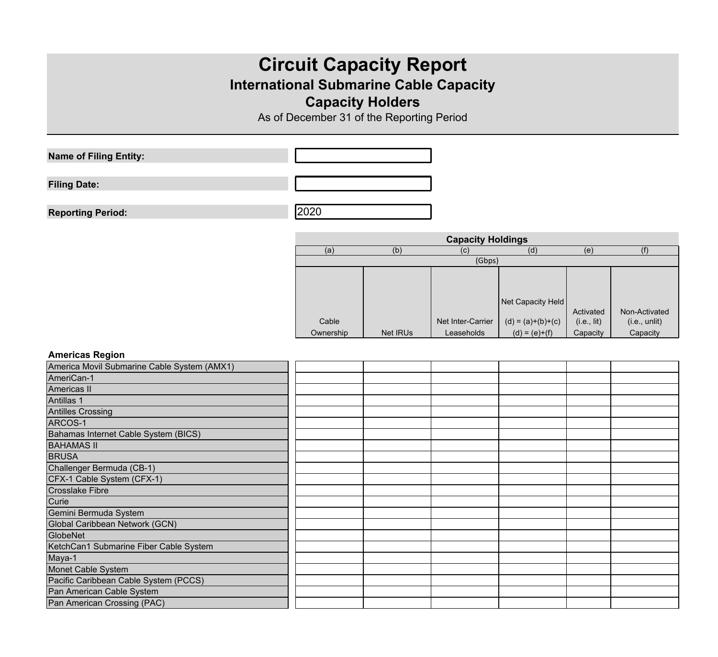# **Circuit Capacity Report**

# **International Submarine Cable Capacity**

## **Capacity Holders**

As of December 31 of the Reporting Period

**Name of Filing Entity:**

**Filing Date:**

**Reporting Period:** 2020

| <b>Capacity Holdings</b> |          |                   |                     |             |               |  |  |  |
|--------------------------|----------|-------------------|---------------------|-------------|---------------|--|--|--|
| (a)                      | (b)      | (C)               | (d)                 | (e)         | (f            |  |  |  |
| (Gbps)                   |          |                   |                     |             |               |  |  |  |
|                          |          |                   |                     |             |               |  |  |  |
|                          |          |                   |                     |             |               |  |  |  |
|                          |          |                   | Net Capacity Held   |             |               |  |  |  |
|                          |          |                   |                     | Activated   | Non-Activated |  |  |  |
| Cable                    |          | Net Inter-Carrier | $(d) = (a)+(b)+(c)$ | (i.e., lit) | (i.e., until) |  |  |  |
| Ownership                | Net IRUs | Leaseholds        | $(d) = (e)+(f)$     | Capacity    | Capacity      |  |  |  |

#### **Americas Region**

| America Movil Submarine Cable System (AMX1) |  |  |  |
|---------------------------------------------|--|--|--|
| AmeriCan-1                                  |  |  |  |
| Americas II                                 |  |  |  |
| Antillas <sub>1</sub>                       |  |  |  |
| Antilles Crossing                           |  |  |  |
| ARCOS-1                                     |  |  |  |
| Bahamas Internet Cable System (BICS)        |  |  |  |
| <b>BAHAMAS II</b>                           |  |  |  |
| <b>BRUSA</b>                                |  |  |  |
| Challenger Bermuda (CB-1)                   |  |  |  |
| CFX-1 Cable System (CFX-1)                  |  |  |  |
| <b>Crosslake Fibre</b>                      |  |  |  |
| <b>Curie</b>                                |  |  |  |
| Gemini Bermuda System                       |  |  |  |
| Global Caribbean Network (GCN)              |  |  |  |
| GlobeNet                                    |  |  |  |
| KetchCan1 Submarine Fiber Cable System      |  |  |  |
| Maya-1                                      |  |  |  |
| Monet Cable System                          |  |  |  |
| Pacific Caribbean Cable System (PCCS)       |  |  |  |
| Pan American Cable System                   |  |  |  |
| Pan American Crossing (PAC)                 |  |  |  |